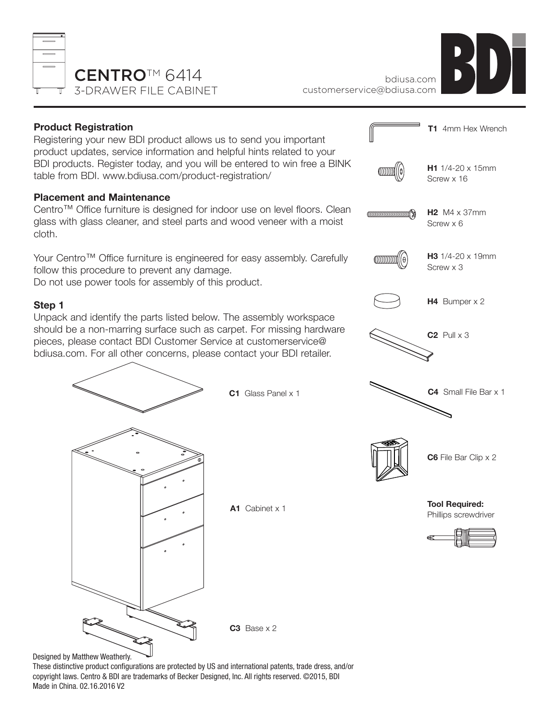



## **Product Registration**

Registering your new BDI product allows us to send you important product updates, service information and helpful hints related to your BDI products. Register today, and you will be entered to win free a BINK table from BDI. www.bdiusa.com/product-registration/

## **Placement and Maintenance**

Centro™ Office furniture is designed for indoor use on level floors. Clean glass with glass cleaner, and steel parts and wood veneer with a moist cloth.

Your Centro™ Office furniture is engineered for easy assembly. Carefully follow this procedure to prevent any damage.

Do not use power tools for assembly of this product.

## **Step 1**

Unpack and identify the parts listed below. The assembly workspace should be a non-marring surface such as carpet. For missing hardware pieces, please contact BDI Customer Service at customerservice@ bdiusa.com. For all other concerns, please contact your BDI retailer.



Designed by Matthew Weatherly.

These distinctive product configurations are protected by US and international patents, trade dress, and/or copyright laws. Centro & BDI are trademarks of Becker Designed, Inc. All rights reserved. ©2015, BDI Made in China. 02.16.2016 V2

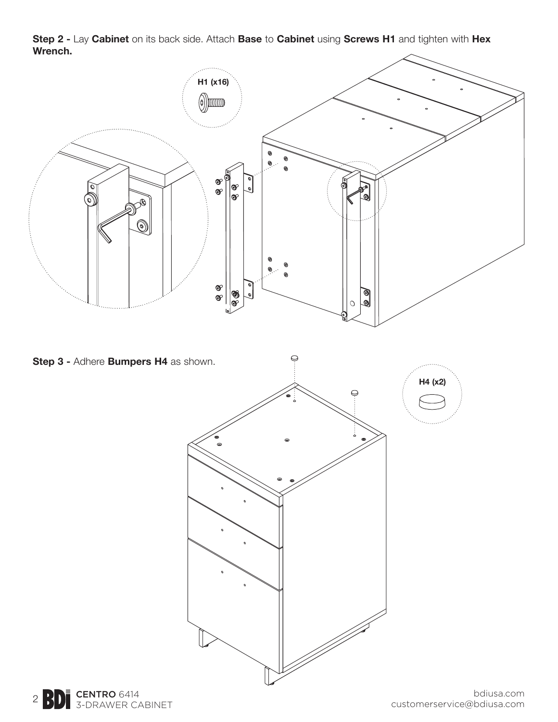**Step 2 -** Lay **Cabinet** on its back side. Attach **Base** to **Cabinet** using **Screws H1** and tighten with **Hex Wrench.**



**Step 3 -** Adhere **Bumpers H4** as shown.  $\ominus$ **H4 (x2)** $\bigcirc$ 



bdiusa.com customerservice@bdiusa.com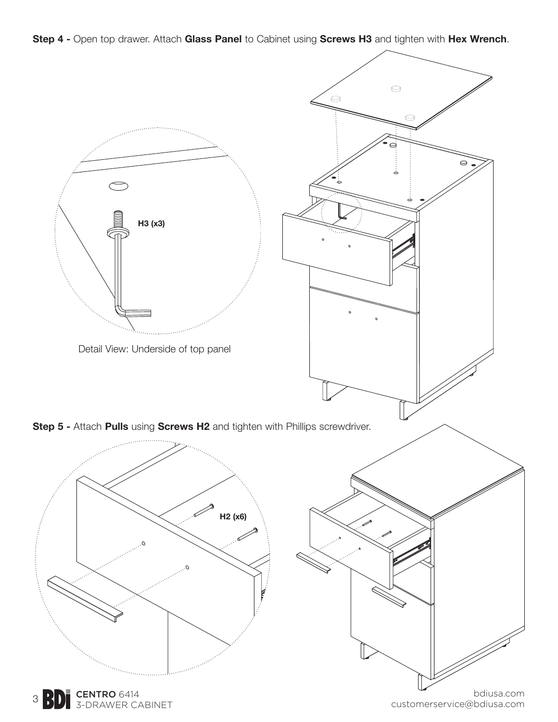**Step 4 -** Open top drawer. Attach **Glass Panel** to Cabinet using **Screws H3** and tighten with **Hex Wrench**.



3 **BD** S-DRAWER CABINET

customerservice@bdiusa.com